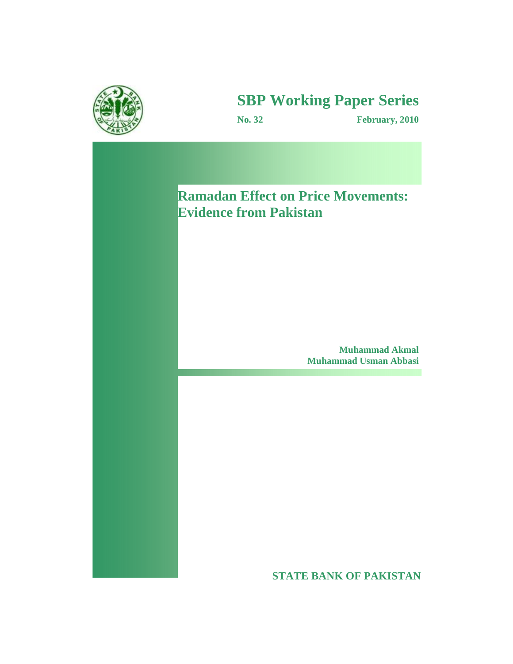

# **SBP Working Paper Series**

**No. 32 February, 2010**

**Ramadan Effect on Price Movements: Evidence from Pakistan** 

> **Muhammad Akmal Muhammad Usman Abbasi**

**STATE BANK OF PAKISTAN**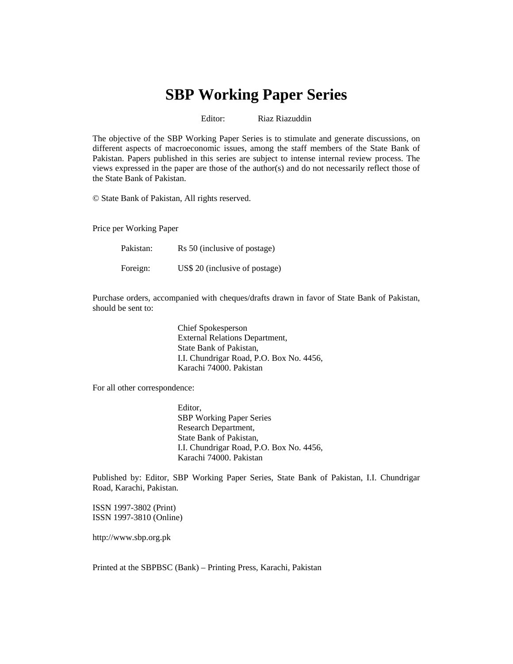# **SBP Working Paper Series**

Editor: Riaz Riazuddin

The objective of the SBP Working Paper Series is to stimulate and generate discussions, on different aspects of macroeconomic issues, among the staff members of the State Bank of Pakistan. Papers published in this series are subject to intense internal review process. The views expressed in the paper are those of the author(s) and do not necessarily reflect those of the State Bank of Pakistan.

© State Bank of Pakistan, All rights reserved.

Price per Working Paper

| Pakistan: | Rs 50 (inclusive of postage)   |
|-----------|--------------------------------|
| Foreign:  | US\$ 20 (inclusive of postage) |

Purchase orders, accompanied with cheques/drafts drawn in favor of State Bank of Pakistan, should be sent to:

> Chief Spokesperson External Relations Department, State Bank of Pakistan, I.I. Chundrigar Road, P.O. Box No. 4456, Karachi 74000. Pakistan

For all other correspondence:

Editor, SBP Working Paper Series Research Department, State Bank of Pakistan, I.I. Chundrigar Road, P.O. Box No. 4456, Karachi 74000. Pakistan

Published by: Editor, SBP Working Paper Series, State Bank of Pakistan, I.I. Chundrigar Road, Karachi, Pakistan.

ISSN 1997-3802 (Print) ISSN 1997-3810 (Online)

http://www.sbp.org.pk

Printed at the SBPBSC (Bank) – Printing Press, Karachi, Pakistan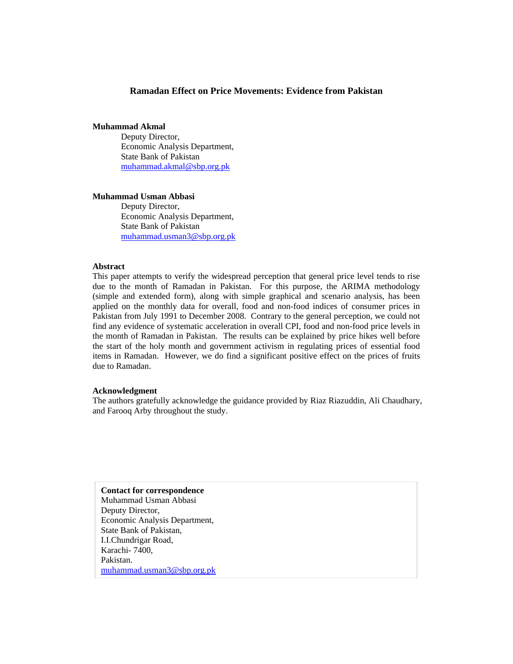# **Ramadan Effect on Price Movements: Evidence from Pakistan**

# **Muhammad Akmal**

Deputy Director, Economic Analysis Department, State Bank of Pakistan muhammad.akmal@sbp.org.pk

#### **Muhammad Usman Abbasi**

Deputy Director, Economic Analysis Department, State Bank of Pakistan muhammad.usman3@sbp.org.pk

#### **Abstract**

This paper attempts to verify the widespread perception that general price level tends to rise due to the month of Ramadan in Pakistan. For this purpose, the ARIMA methodology (simple and extended form), along with simple graphical and scenario analysis, has been applied on the monthly data for overall, food and non-food indices of consumer prices in Pakistan from July 1991 to December 2008. Contrary to the general perception, we could not find any evidence of systematic acceleration in overall CPI, food and non-food price levels in the month of Ramadan in Pakistan. The results can be explained by price hikes well before the start of the holy month and government activism in regulating prices of essential food items in Ramadan. However, we do find a significant positive effect on the prices of fruits due to Ramadan.

#### **Acknowledgment**

The authors gratefully acknowledge the guidance provided by Riaz Riazuddin, Ali Chaudhary, and Farooq Arby throughout the study.

**Contact for correspondence**  Muhammad Usman Abbasi Deputy Director, Economic Analysis Department, State Bank of Pakistan, I.I.Chundrigar Road, Karachi- 7400, Pakistan. muhammad.usman3@sbp.org.pk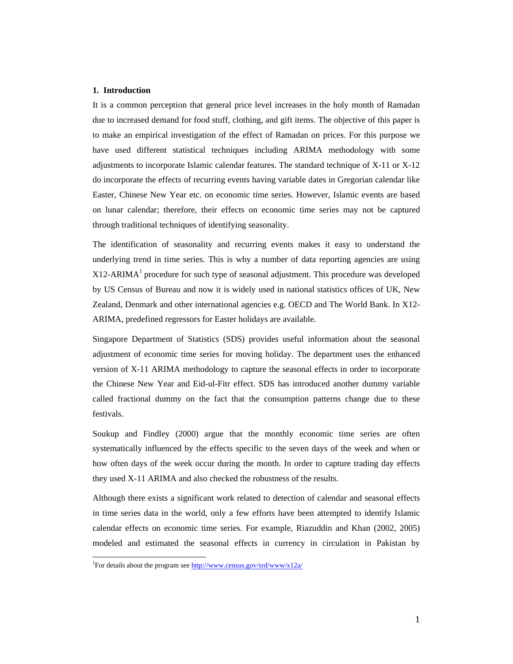#### **1. Introduction**

It is a common perception that general price level increases in the holy month of Ramadan due to increased demand for food stuff, clothing, and gift items. The objective of this paper is to make an empirical investigation of the effect of Ramadan on prices. For this purpose we have used different statistical techniques including ARIMA methodology with some adjustments to incorporate Islamic calendar features. The standard technique of X-11 or X-12 do incorporate the effects of recurring events having variable dates in Gregorian calendar like Easter, Chinese New Year etc. on economic time series. However, Islamic events are based on lunar calendar; therefore, their effects on economic time series may not be captured through traditional techniques of identifying seasonality.

The identification of seasonality and recurring events makes it easy to understand the underlying trend in time series. This is why a number of data reporting agencies are using  $X12$ -ARIMA<sup>1</sup> procedure for such type of seasonal adjustment. This procedure was developed by US Census of Bureau and now it is widely used in national statistics offices of UK, New Zealand, Denmark and other international agencies e.g. OECD and The World Bank. In X12- ARIMA, predefined regressors for Easter holidays are available.

Singapore Department of Statistics (SDS) provides useful information about the seasonal adjustment of economic time series for moving holiday. The department uses the enhanced version of X-11 ARIMA methodology to capture the seasonal effects in order to incorporate the Chinese New Year and Eid-ul-Fitr effect. SDS has introduced another dummy variable called fractional dummy on the fact that the consumption patterns change due to these festivals.

Soukup and Findley (2000) argue that the monthly economic time series are often systematically influenced by the effects specific to the seven days of the week and when or how often days of the week occur during the month. In order to capture trading day effects they used X-11 ARIMA and also checked the robustness of the results.

Although there exists a significant work related to detection of calendar and seasonal effects in time series data in the world, only a few efforts have been attempted to identify Islamic calendar effects on economic time series. For example, Riazuddin and Khan (2002, 2005) modeled and estimated the seasonal effects in currency in circulation in Pakistan by

<sup>&</sup>lt;sup>1</sup> For details about the program see http://www.census.gov/srd/www/x12a/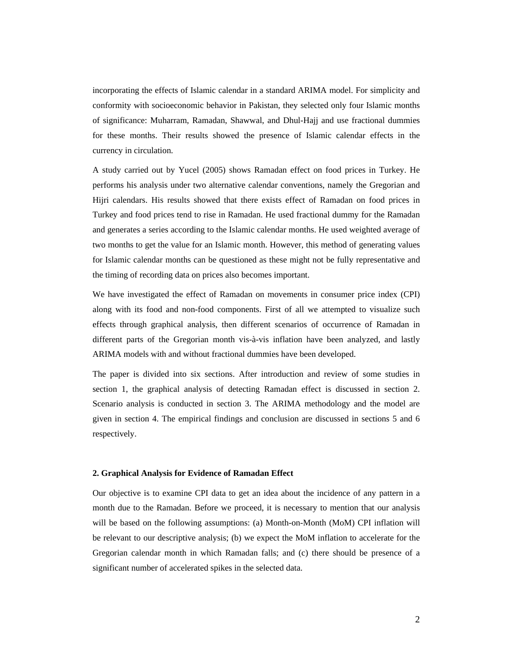incorporating the effects of Islamic calendar in a standard ARIMA model. For simplicity and conformity with socioeconomic behavior in Pakistan, they selected only four Islamic months of significance: Muharram, Ramadan, Shawwal, and Dhul-Hajj and use fractional dummies for these months. Their results showed the presence of Islamic calendar effects in the currency in circulation.

A study carried out by Yucel (2005) shows Ramadan effect on food prices in Turkey. He performs his analysis under two alternative calendar conventions, namely the Gregorian and Hijri calendars. His results showed that there exists effect of Ramadan on food prices in Turkey and food prices tend to rise in Ramadan. He used fractional dummy for the Ramadan and generates a series according to the Islamic calendar months. He used weighted average of two months to get the value for an Islamic month. However, this method of generating values for Islamic calendar months can be questioned as these might not be fully representative and the timing of recording data on prices also becomes important.

We have investigated the effect of Ramadan on movements in consumer price index (CPI) along with its food and non-food components. First of all we attempted to visualize such effects through graphical analysis, then different scenarios of occurrence of Ramadan in different parts of the Gregorian month vis-à-vis inflation have been analyzed, and lastly ARIMA models with and without fractional dummies have been developed.

The paper is divided into six sections. After introduction and review of some studies in section 1, the graphical analysis of detecting Ramadan effect is discussed in section 2. Scenario analysis is conducted in section 3. The ARIMA methodology and the model are given in section 4. The empirical findings and conclusion are discussed in sections 5 and 6 respectively.

#### **2. Graphical Analysis for Evidence of Ramadan Effect**

Our objective is to examine CPI data to get an idea about the incidence of any pattern in a month due to the Ramadan. Before we proceed, it is necessary to mention that our analysis will be based on the following assumptions: (a) Month-on-Month (MoM) CPI inflation will be relevant to our descriptive analysis; (b) we expect the MoM inflation to accelerate for the Gregorian calendar month in which Ramadan falls; and (c) there should be presence of a significant number of accelerated spikes in the selected data.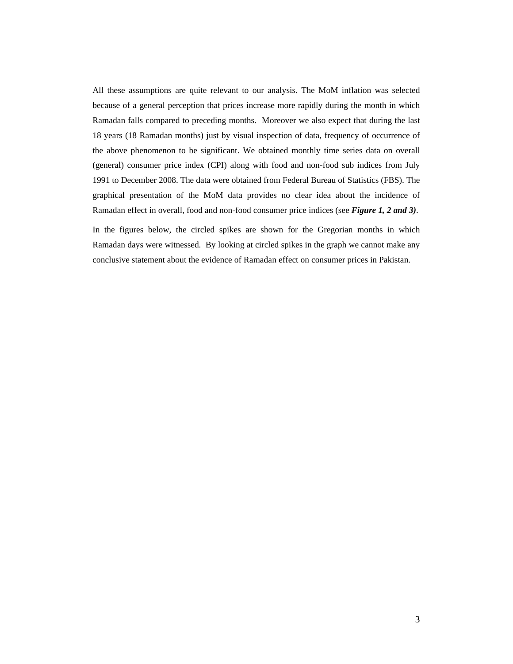All these assumptions are quite relevant to our analysis. The MoM inflation was selected because of a general perception that prices increase more rapidly during the month in which Ramadan falls compared to preceding months. Moreover we also expect that during the last 18 years (18 Ramadan months) just by visual inspection of data, frequency of occurrence of the above phenomenon to be significant. We obtained monthly time series data on overall (general) consumer price index (CPI) along with food and non-food sub indices from July 1991 to December 2008. The data were obtained from Federal Bureau of Statistics (FBS). The graphical presentation of the MoM data provides no clear idea about the incidence of Ramadan effect in overall, food and non-food consumer price indices (see *Figure 1, 2 and 3)*.

In the figures below, the circled spikes are shown for the Gregorian months in which Ramadan days were witnessed. By looking at circled spikes in the graph we cannot make any conclusive statement about the evidence of Ramadan effect on consumer prices in Pakistan.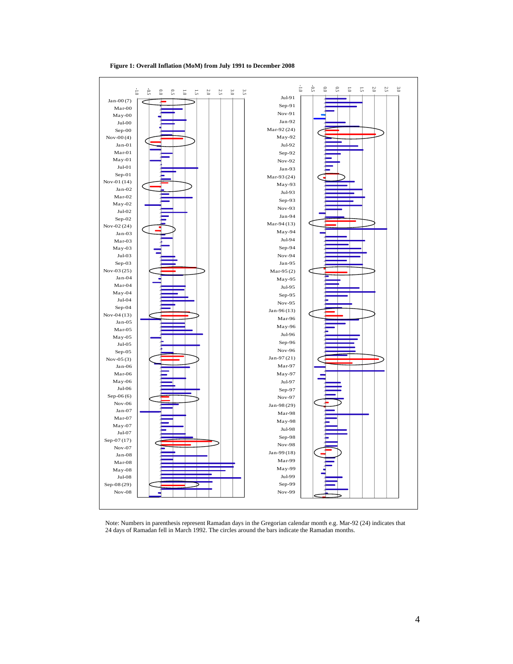

**Figure 1: Overall Inflation (MoM) from July 1991 to December 2008** 

Note: Numbers in parenthesis represent Ramadan days in the Gregorian calendar month e.g. Mar-92 (24) indicates that 24 days of Ramadan fell in March 1992. The circles around the bars indicate the Ramadan months.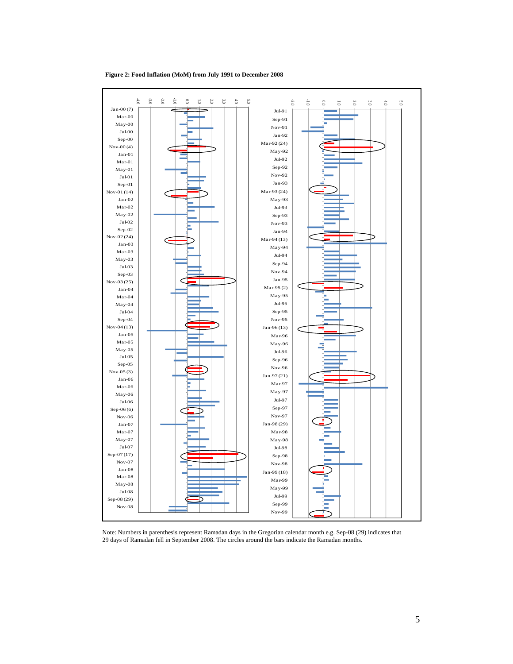

**Figure 2: Food Inflation (MoM) from July 1991 to December 2008** 

Note: Numbers in parenthesis represent Ramadan days in the Gregorian calendar month e.g. Sep-08 (29) indicates that 29 days of Ramadan fell in September 2008. The circles around the bars indicate the Ramadan months.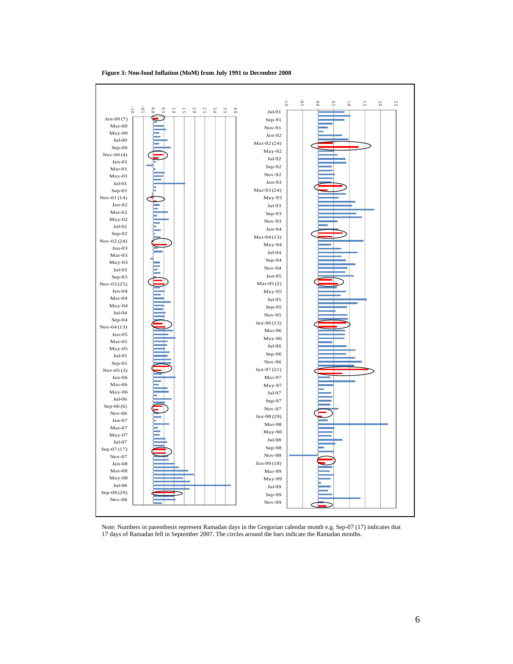

**Figure 3: Non-food Inflation (MoM) from July 1991 to December 2008** 

Note: Numbers in parenthesis represent Ramadan days in the Gregorian calendar month e.g. Sep-07 (17) indicates that 17 days of Ramadan fell in September 2007. The circles around the bars indicate the Ramadan months.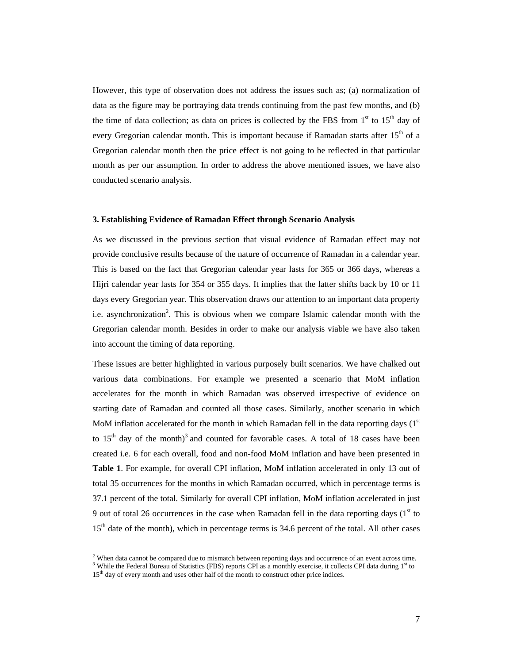However, this type of observation does not address the issues such as; (a) normalization of data as the figure may be portraying data trends continuing from the past few months, and (b) the time of data collection; as data on prices is collected by the FBS from  $1<sup>st</sup>$  to  $15<sup>th</sup>$  day of every Gregorian calendar month. This is important because if Ramadan starts after  $15<sup>th</sup>$  of a Gregorian calendar month then the price effect is not going to be reflected in that particular month as per our assumption. In order to address the above mentioned issues, we have also conducted scenario analysis.

#### **3. Establishing Evidence of Ramadan Effect through Scenario Analysis**

As we discussed in the previous section that visual evidence of Ramadan effect may not provide conclusive results because of the nature of occurrence of Ramadan in a calendar year. This is based on the fact that Gregorian calendar year lasts for 365 or 366 days, whereas a Hijri calendar year lasts for 354 or 355 days. It implies that the latter shifts back by 10 or 11 days every Gregorian year. This observation draws our attention to an important data property i.e. asynchronization<sup>2</sup>. This is obvious when we compare Islamic calendar month with the Gregorian calendar month. Besides in order to make our analysis viable we have also taken into account the timing of data reporting.

These issues are better highlighted in various purposely built scenarios. We have chalked out various data combinations. For example we presented a scenario that MoM inflation accelerates for the month in which Ramadan was observed irrespective of evidence on starting date of Ramadan and counted all those cases. Similarly, another scenario in which MoM inflation accelerated for the month in which Ramadan fell in the data reporting days  $(1<sup>st</sup>$ to  $15<sup>th</sup>$  day of the month)<sup>3</sup> and counted for favorable cases. A total of 18 cases have been created i.e. 6 for each overall, food and non-food MoM inflation and have been presented in **Table 1**. For example, for overall CPI inflation, MoM inflation accelerated in only 13 out of total 35 occurrences for the months in which Ramadan occurred, which in percentage terms is 37.1 percent of the total. Similarly for overall CPI inflation, MoM inflation accelerated in just 9 out of total 26 occurrences in the case when Ramadan fell in the data reporting days  $(1<sup>st</sup>$  to 15<sup>th</sup> date of the month), which in percentage terms is 34.6 percent of the total. All other cases

 2 When data cannot be compared due to mismatch between reporting days and occurrence of an event across time.  $3$  While the Federal Bureau of Statistics (FBS) reports CPI as a monthly exercise, it collects CPI data during  $1<sup>st</sup>$  to

<sup>15&</sup>lt;sup>th</sup> day of every month and uses other half of the month to construct other price indices.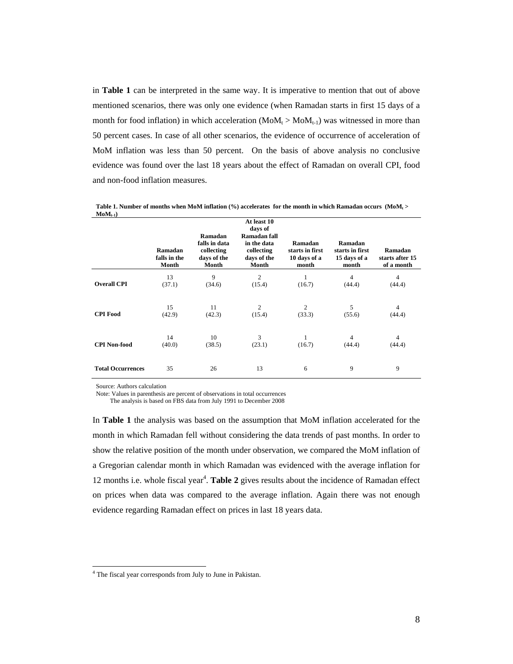in **Table 1** can be interpreted in the same way. It is imperative to mention that out of above mentioned scenarios, there was only one evidence (when Ramadan starts in first 15 days of a month for food inflation) in which acceleration  $(MoM_t > MoM_{t-1})$  was witnessed in more than 50 percent cases. In case of all other scenarios, the evidence of occurrence of acceleration of MoM inflation was less than 50 percent. On the basis of above analysis no conclusive evidence was found over the last 18 years about the effect of Ramadan on overall CPI, food and non-food inflation measures.

|                          | Ramadan<br>falls in the<br>Month | Ramadan<br>falls in data<br>collecting<br>days of the<br>Month | At least 10<br>days of<br>Ramadan fall<br>in the data<br>collecting<br>days of the<br>Month | Ramadan<br>starts in first<br>10 days of a<br>month | Ramadan<br>starts in first<br>15 days of a<br>month | Ramadan<br>starts after 15<br>of a month |
|--------------------------|----------------------------------|----------------------------------------------------------------|---------------------------------------------------------------------------------------------|-----------------------------------------------------|-----------------------------------------------------|------------------------------------------|
| <b>Overall CPI</b>       | 13                               | 9                                                              | $\mathfrak{2}$                                                                              | 1                                                   | $\overline{4}$                                      | 4                                        |
|                          | (37.1)                           | (34.6)                                                         | (15.4)                                                                                      | (16.7)                                              | (44.4)                                              | (44.4)                                   |
| <b>CPI Food</b>          | 15                               | 11                                                             | $\overline{2}$                                                                              | $\overline{2}$                                      | 5                                                   | 4                                        |
|                          | (42.9)                           | (42.3)                                                         | (15.4)                                                                                      | (33.3)                                              | (55.6)                                              | (44.4)                                   |
| <b>CPI Non-food</b>      | 14                               | 10                                                             | 3                                                                                           | 1                                                   | 4                                                   | 4                                        |
|                          | (40.0)                           | (38.5)                                                         | (23.1)                                                                                      | (16.7)                                              | (44.4)                                              | (44.4)                                   |
| <b>Total Occurrences</b> | 35                               | 26                                                             | 13                                                                                          | 6                                                   | 9                                                   | 9                                        |

Table 1. Number of months when MoM inflation (%) accelerates for the month in which Ramadan occurs (MoM<sub>t</sub> >  $MoM_{t-1}$ 

Source: Authors calculation

 $\overline{a}$ 

Note: Values in parenthesis are percent of observations in total occurrences

The analysis is based on FBS data from July 1991 to December 2008

In **Table 1** the analysis was based on the assumption that MoM inflation accelerated for the month in which Ramadan fell without considering the data trends of past months. In order to show the relative position of the month under observation, we compared the MoM inflation of a Gregorian calendar month in which Ramadan was evidenced with the average inflation for 12 months i.e. whole fiscal year<sup>4</sup>. Table 2 gives results about the incidence of Ramadan effect on prices when data was compared to the average inflation. Again there was not enough evidence regarding Ramadan effect on prices in last 18 years data.

<sup>&</sup>lt;sup>4</sup> The fiscal year corresponds from July to June in Pakistan.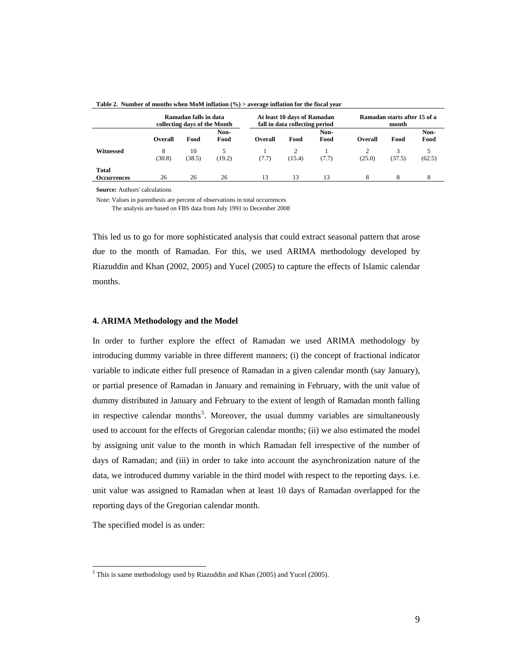|                             |                | Ramadan falls in data<br>collecting days of the Month |              | At least 10 days of Ramadan<br>fall in data collecting period |        |              | Ramadan starts after 15 of a<br>month |        |              |
|-----------------------------|----------------|-------------------------------------------------------|--------------|---------------------------------------------------------------|--------|--------------|---------------------------------------|--------|--------------|
|                             | <b>Overall</b> | Food                                                  | Non-<br>Food | Overall                                                       | Food   | Non-<br>Food | <b>Overall</b>                        | Food   | Non-<br>Food |
| Witnessed                   | 8<br>(30.8)    | 10<br>(38.5)                                          | 5<br>(19.2)  | (7.7)                                                         | (15.4) | (7.7)        | (25.0)                                | (37.5) | (62.5)       |
| <b>Total</b><br>Occurrences | 26             | 26                                                    | 26           | 13                                                            | 13     | 13           |                                       |        | 8            |

**Table 2. Number of months when MoM inflation (%) > average inflation for the fiscal year** 

**Source:** Authors' calculations

Note: Values in parenthesis are percent of observations in total occurrences

The analysis are based on FBS data from July 1991 to December 2008

This led us to go for more sophisticated analysis that could extract seasonal pattern that arose due to the month of Ramadan. For this, we used ARIMA methodology developed by Riazuddin and Khan (2002, 2005) and Yucel (2005) to capture the effects of Islamic calendar months.

#### **4. ARIMA Methodology and the Model**

In order to further explore the effect of Ramadan we used ARIMA methodology by introducing dummy variable in three different manners; (i) the concept of fractional indicator variable to indicate either full presence of Ramadan in a given calendar month (say January), or partial presence of Ramadan in January and remaining in February, with the unit value of dummy distributed in January and February to the extent of length of Ramadan month falling in respective calendar months<sup>5</sup>. Moreover, the usual dummy variables are simultaneously used to account for the effects of Gregorian calendar months; (ii) we also estimated the model by assigning unit value to the month in which Ramadan fell irrespective of the number of days of Ramadan; and (iii) in order to take into account the asynchronization nature of the data, we introduced dummy variable in the third model with respect to the reporting days. i.e. unit value was assigned to Ramadan when at least 10 days of Ramadan overlapped for the reporting days of the Gregorian calendar month.

The specified model is as under:

 $\overline{a}$ 

 $<sup>5</sup>$  This is same methodology used by Riazuddin and Khan (2005) and Yucel (2005).</sup>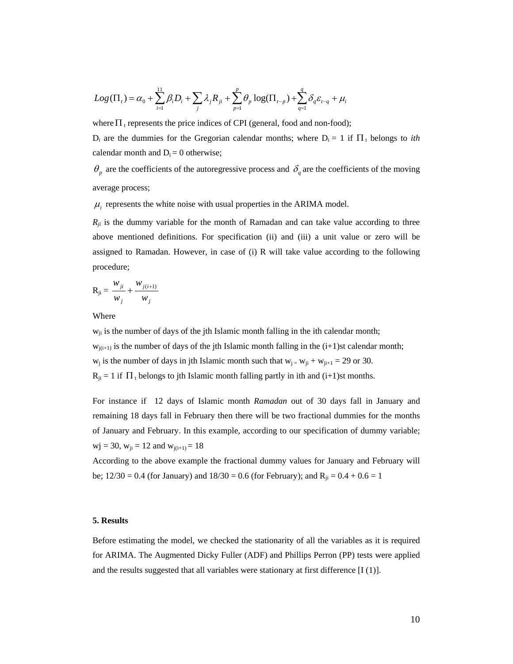$$
Log(\Pi_t) = \alpha_0 + \sum_{i=1}^{11} \beta_i D_i + \sum_j \lambda_j R_{ji} + \sum_{p=1}^{p} \theta_p \log(\Pi_{t-p}) + \sum_{q=1}^{q} \delta_q \varepsilon_{t-q} + \mu_i
$$

where  $\Pi_t$  represents the price indices of CPI (general, food and non-food);

 $D_i$  are the dummies for the Gregorian calendar months; where  $D_i = 1$  if  $\Pi_t$  belongs to *ith* calendar month and  $D_i = 0$  otherwise;

 $\theta_p$  are the coefficients of the autoregressive process and  $\delta_q$  are the coefficients of the moving average process;

 $\mu_i$  represents the white noise with usual properties in the ARIMA model.

 $R_{ji}$  is the dummy variable for the month of Ramadan and can take value according to three above mentioned definitions. For specification (ii) and (iii) a unit value or zero will be assigned to Ramadan. However, in case of (i) R will take value according to the following procedure;

$$
R_{ji} = \frac{w_{ji}}{w_j} + \frac{w_{j(i+1)}}{w_j}
$$

Where

 $w_{ji}$  is the number of days of the jth Islamic month falling in the ith calendar month;  $w_{j(i+1)}$  is the number of days of the jth Islamic month falling in the  $(i+1)$ st calendar month;  $w_j$  is the number of days in jth Islamic month such that  $w_{j} = w_{ji} + w_{ji+1} = 29$  or 30.  $R_{ii} = 1$  if  $\Pi_t$  belongs to jth Islamic month falling partly in ith and (i+1)st months.

For instance if 12 days of Islamic month *Ramadan* out of 30 days fall in January and remaining 18 days fall in February then there will be two fractional dummies for the months of January and February. In this example, according to our specification of dummy variable;  $\text{wj} = 30, \text{w}_{\text{ii}} = 12 \text{ and } \text{w}_{\text{i}(i+1)} = 18$ 

According to the above example the fractional dummy values for January and February will be; 12/30 = 0.4 (for January) and  $18/30 = 0.6$  (for February); and  $R_{ii} = 0.4 + 0.6 = 1$ 

### **5. Results**

Before estimating the model, we checked the stationarity of all the variables as it is required for ARIMA. The Augmented Dicky Fuller (ADF) and Phillips Perron (PP) tests were applied and the results suggested that all variables were stationary at first difference [I (1)].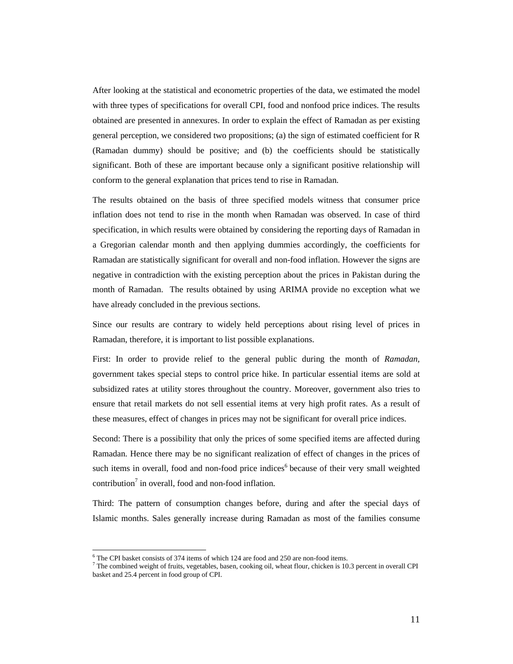After looking at the statistical and econometric properties of the data, we estimated the model with three types of specifications for overall CPI, food and nonfood price indices. The results obtained are presented in annexures. In order to explain the effect of Ramadan as per existing general perception, we considered two propositions; (a) the sign of estimated coefficient for R (Ramadan dummy) should be positive; and (b) the coefficients should be statistically significant. Both of these are important because only a significant positive relationship will conform to the general explanation that prices tend to rise in Ramadan.

The results obtained on the basis of three specified models witness that consumer price inflation does not tend to rise in the month when Ramadan was observed. In case of third specification, in which results were obtained by considering the reporting days of Ramadan in a Gregorian calendar month and then applying dummies accordingly, the coefficients for Ramadan are statistically significant for overall and non-food inflation. However the signs are negative in contradiction with the existing perception about the prices in Pakistan during the month of Ramadan. The results obtained by using ARIMA provide no exception what we have already concluded in the previous sections.

Since our results are contrary to widely held perceptions about rising level of prices in Ramadan, therefore, it is important to list possible explanations.

First: In order to provide relief to the general public during the month of *Ramadan,* government takes special steps to control price hike. In particular essential items are sold at subsidized rates at utility stores throughout the country. Moreover, government also tries to ensure that retail markets do not sell essential items at very high profit rates. As a result of these measures, effect of changes in prices may not be significant for overall price indices.

Second: There is a possibility that only the prices of some specified items are affected during Ramadan. Hence there may be no significant realization of effect of changes in the prices of such items in overall, food and non-food price indices<sup>6</sup> because of their very small weighted contribution<sup>7</sup> in overall, food and non-food inflation.

Third: The pattern of consumption changes before, during and after the special days of Islamic months. Sales generally increase during Ramadan as most of the families consume

<sup>&</sup>lt;sup>6</sup> The CPI basket consists of 374 items of which 124 are food and 250 are non-food items.

<sup>&</sup>lt;sup>7</sup> The combined weight of fruits, vegetables, basen, cooking oil, wheat flour, chicken is 10.3 percent in overall CPI basket and 25.4 percent in food group of CPI.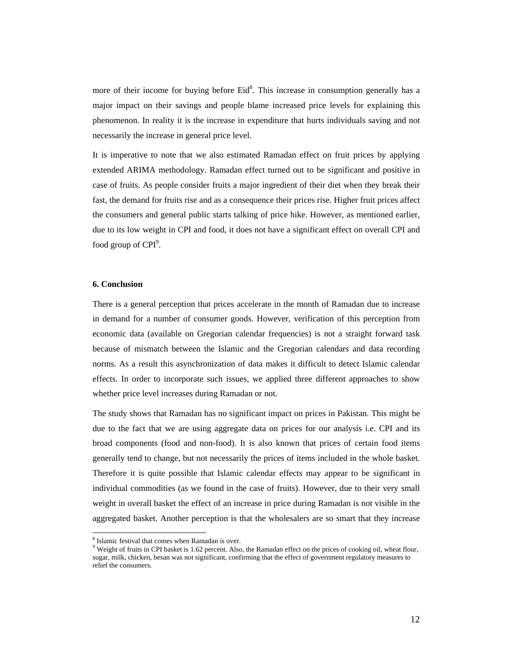more of their income for buying before  $Eid<sup>8</sup>$ . This increase in consumption generally has a major impact on their savings and people blame increased price levels for explaining this phenomenon. In reality it is the increase in expenditure that hurts individuals saving and not necessarily the increase in general price level.

It is imperative to note that we also estimated Ramadan effect on fruit prices by applying extended ARIMA methodology. Ramadan effect turned out to be significant and positive in case of fruits. As people consider fruits a major ingredient of their diet when they break their fast, the demand for fruits rise and as a consequence their prices rise. Higher fruit prices affect the consumers and general public starts talking of price hike. However, as mentioned earlier, due to its low weight in CPI and food, it does not have a significant effect on overall CPI and food group of CPI<sup>9</sup>.

#### **6. Conclusion**

 $\overline{a}$ 

There is a general perception that prices accelerate in the month of Ramadan due to increase in demand for a number of consumer goods. However, verification of this perception from economic data (available on Gregorian calendar frequencies) is not a straight forward task because of mismatch between the Islamic and the Gregorian calendars and data recording norms. As a result this asynchronization of data makes it difficult to detect Islamic calendar effects. In order to incorporate such issues, we applied three different approaches to show whether price level increases during Ramadan or not.

The study shows that Ramadan has no significant impact on prices in Pakistan. This might be due to the fact that we are using aggregate data on prices for our analysis i.e. CPI and its broad components (food and non-food). It is also known that prices of certain food items generally tend to change, but not necessarily the prices of items included in the whole basket. Therefore it is quite possible that Islamic calendar effects may appear to be significant in individual commodities (as we found in the case of fruits). However, due to their very small weight in overall basket the effect of an increase in price during Ramadan is not visible in the aggregated basket. Another perception is that the wholesalers are so smart that they increase

<sup>8</sup> Islamic festival that comes when Ramadan is over.

<sup>&</sup>lt;sup>9</sup> Weight of fruits in CPI basket is 1.62 percent. Also, the Ramadan effect on the prices of cooking oil, wheat flour, sugar, milk, chicken, besan was not significant, confirming that the effect of government regulatory measures to relief the consumers.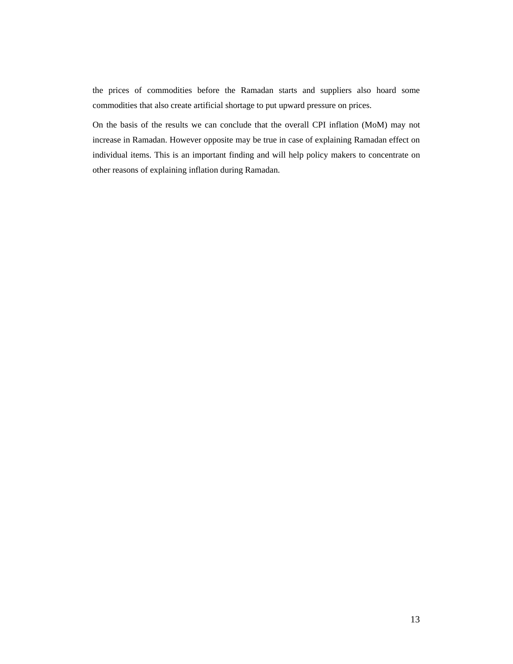the prices of commodities before the Ramadan starts and suppliers also hoard some commodities that also create artificial shortage to put upward pressure on prices.

On the basis of the results we can conclude that the overall CPI inflation (MoM) may not increase in Ramadan. However opposite may be true in case of explaining Ramadan effect on individual items. This is an important finding and will help policy makers to concentrate on other reasons of explaining inflation during Ramadan.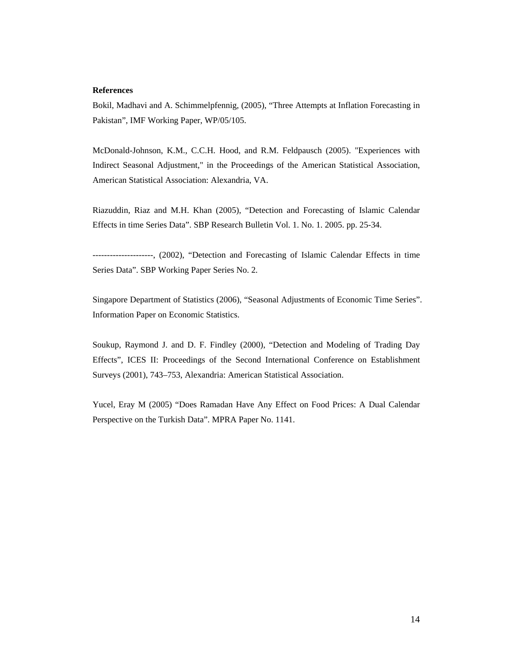#### **References**

Bokil, Madhavi and A. Schimmelpfennig, (2005), "Three Attempts at Inflation Forecasting in Pakistan", IMF Working Paper, WP/05/105.

McDonald-Johnson, K.M., C.C.H. Hood, and R.M. Feldpausch (2005). "Experiences with Indirect Seasonal Adjustment," in the Proceedings of the American Statistical Association, American Statistical Association: Alexandria, VA.

Riazuddin, Riaz and M.H. Khan (2005), "Detection and Forecasting of Islamic Calendar Effects in time Series Data". SBP Research Bulletin Vol. 1. No. 1. 2005. pp. 25-34.

---------------------, (2002), "Detection and Forecasting of Islamic Calendar Effects in time Series Data". SBP Working Paper Series No. 2.

Singapore Department of Statistics (2006), "Seasonal Adjustments of Economic Time Series". Information Paper on Economic Statistics.

Soukup, Raymond J. and D. F. Findley (2000), "Detection and Modeling of Trading Day Effects", ICES II: Proceedings of the Second International Conference on Establishment Surveys (2001), 743–753, Alexandria: American Statistical Association.

Yucel, Eray M (2005) "Does Ramadan Have Any Effect on Food Prices: A Dual Calendar Perspective on the Turkish Data". MPRA Paper No. 1141.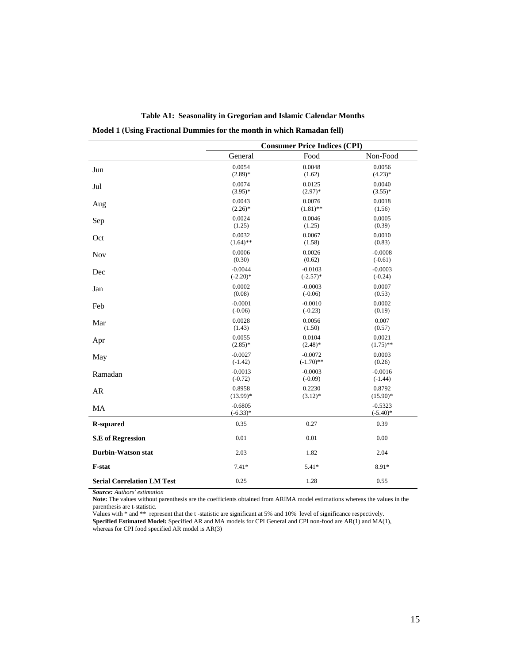|                                   | <b>Consumer Price Indices (CPI)</b> |              |                          |  |
|-----------------------------------|-------------------------------------|--------------|--------------------------|--|
|                                   | General                             | Food         | Non-Food                 |  |
| Jun                               | 0.0054                              | 0.0048       | 0.0056                   |  |
|                                   | $(2.89)*$                           | (1.62)       | $(4.23)*$                |  |
| Jul                               | 0.0074                              | 0.0125       | 0.0040                   |  |
|                                   | $(3.95)*$                           | $(2.97)$ *   | $(3.55)*$                |  |
| Aug                               | 0.0043                              | 0.0076       | 0.0018                   |  |
|                                   | $(2.26)^*$                          | $(1.81)$ **  | (1.56)                   |  |
| Sep                               | 0.0024                              | 0.0046       | 0.0005                   |  |
|                                   | (1.25)                              | (1.25)       | (0.39)                   |  |
| Oct                               | 0.0032                              | 0.0067       | 0.0010                   |  |
|                                   | $(1.64)$ **                         | (1.58)       | (0.83)                   |  |
| <b>Nov</b>                        | 0.0006                              | 0.0026       | $-0.0008$                |  |
|                                   | (0.30)                              | (0.62)       | $(-0.61)$                |  |
| Dec                               | $-0.0044$                           | $-0.0103$    | $-0.0003$                |  |
|                                   | $(-2.20)$ *                         | $(-2.57)$ *  | $(-0.24)$                |  |
| Jan                               | 0.0002                              | $-0.0003$    | 0.0007                   |  |
|                                   | (0.08)                              | $(-0.06)$    | (0.53)                   |  |
| Feb                               | $-0.0001$                           | $-0.0010$    | 0.0002                   |  |
|                                   | $(-0.06)$                           | $(-0.23)$    | (0.19)                   |  |
| Mar                               | 0.0028                              | 0.0056       | 0.007                    |  |
|                                   | (1.43)                              | (1.50)       | (0.57)                   |  |
| Apr                               | 0.0055                              | 0.0104       | 0.0021                   |  |
|                                   | $(2.85)*$                           | $(2.48)$ *   | $(1.75)$ **              |  |
| May                               | $-0.0027$                           | $-0.0072$    | 0.0003                   |  |
|                                   | $(-1.42)$                           | $(-1.70)$ ** | (0.26)                   |  |
| Ramadan                           | $-0.0013$                           | $-0.0003$    | $-0.0016$                |  |
|                                   | $(-0.72)$                           | $(-0.09)$    | $(-1.44)$                |  |
| ${\sf AR}$                        | 0.8958                              | 0.2230       | 0.8792                   |  |
|                                   | $(13.99)*$                          | $(3.12)^*$   | $(15.90)$ *              |  |
| MA                                | $-0.6805$<br>$(-6.33)*$             |              | $-0.5323$<br>$(-5.40)$ * |  |
| <b>R-squared</b>                  | 0.35                                | 0.27         | 0.39                     |  |
| <b>S.E</b> of Regression          | 0.01                                | 0.01         | 0.00                     |  |
| <b>Durbin-Watson stat</b>         | 2.03                                | 1.82         | 2.04                     |  |
| F-stat                            | $7.41*$                             | $5.41*$      | 8.91*                    |  |
| <b>Serial Correlation LM Test</b> | 0.25                                | 1.28         | 0.55                     |  |

**Table A1: Seasonality in Gregorian and Islamic Calendar Months** 

**Model 1 (Using Fractional Dummies for the month in which Ramadan fell)** 

*Source: Authors' estimation*

**Note:** The values without parenthesis are the coefficients obtained from ARIMA model estimations whereas the values in the parenthesis are t-statistic.

Values with \* and \*\* represent that the t -statistic are significant at 5% and 10% level of significance respectively. **Specified Estimated Model:** Specified AR and MA models for CPI General and CPI non-food are AR(1) and MA(1), whereas for CPI food specified AR model is AR(3)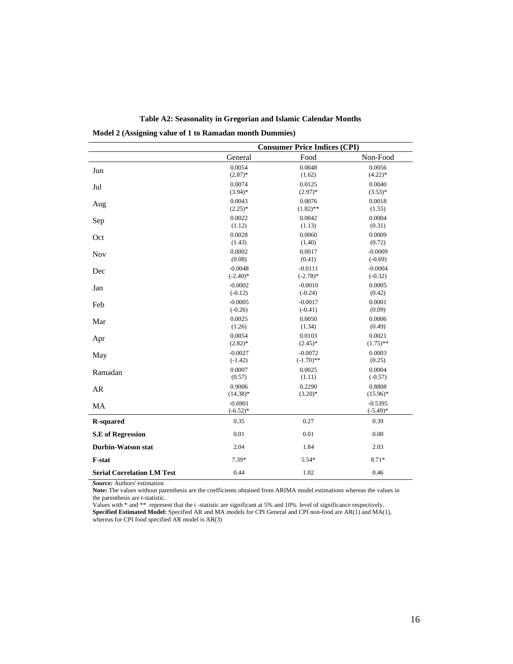|                                   | <b>Consumer Price Indices (CPI)</b> |              |                          |  |
|-----------------------------------|-------------------------------------|--------------|--------------------------|--|
|                                   | General                             | Food         | Non-Food                 |  |
| Jun                               | 0.0054                              | 0.0048       | 0.0056                   |  |
|                                   | $(2.87)$ *                          | (1.62)       | $(4.22)*$                |  |
| Jul                               | 0.0074                              | 0.0125       | 0.0040                   |  |
|                                   | $(3.94)$ *                          | $(2.97)*$    | $(3.53)*$                |  |
| Aug                               | 0.0043                              | 0.0076       | 0.0018                   |  |
|                                   | $(2.25)^*$                          | $(1.82)$ **  | (1.55)                   |  |
| Sep                               | 0.0022                              | 0.0042       | 0.0004                   |  |
|                                   | (1.12)                              | (1.13)       | (0.31)                   |  |
| Oct                               | 0.0028                              | 0.0060       | 0.0009                   |  |
|                                   | (1.43)                              | (1.40)       | (0.72)                   |  |
| <b>Nov</b>                        | 0.0002                              | 0.0017       | $-0.0009$                |  |
|                                   | (0.08)                              | (0.41)       | $(-0.69)$                |  |
| Dec                               | $-0.0048$                           | $-0.0111$    | $-0.0004$                |  |
|                                   | $(-2.40)$ *                         | $(-2.78)$ *  | $(-0.32)$                |  |
| Jan                               | $-0.0002$                           | $-0.0010$    | 0.0005                   |  |
|                                   | $(-0.12)$                           | $(-0.24)$    | (0.42)                   |  |
| Feb                               | $-0.0005$                           | $-0.0017$    | 0.0001                   |  |
|                                   | $(-0.26)$                           | $(-0.41)$    | (0.09)                   |  |
| Mar                               | 0.0025                              | 0.0050       | 0.0006                   |  |
|                                   | (1.26)                              | (1.34)       | (0.49)                   |  |
| Apr                               | 0.0054                              | 0.0103       | 0.0021                   |  |
|                                   | $(2.82)$ *                          | $(2.45)^*$   | $(1.75)$ **              |  |
| May                               | $-0.0027$                           | $-0.0072$    | 0.0003                   |  |
|                                   | $(-1.42)$                           | $(-1.70)$ ** | (0.25)                   |  |
| Ramadan                           | 0.0007                              | 0.0025       | 0.0004                   |  |
|                                   | (0.57)                              | (1.11)       | $(-0.57)$                |  |
| AR                                | 0.9006                              | 0.2290       | 0.8808                   |  |
|                                   | $(14.38)^*$                         | $(3.20)*$    | $(15.96)^*$              |  |
| MA                                | $-0.6901$<br>$(-6.52)*$             |              | $-0.5395$<br>$(-5.49)$ * |  |
| <b>R-squared</b>                  | 0.35                                | 0.27         | 0.39                     |  |
| <b>S.E</b> of Regression          | 0.01                                | 0.01         | 0.00                     |  |
| <b>Durbin-Watson stat</b>         | 2.04                                | 1.84         | 2.03                     |  |
| F-stat                            | 7.39*                               | $5.54*$      | 8.71*                    |  |
| <b>Serial Correlation LM Test</b> | 0.44                                | 1.02         | 0.46                     |  |

**Table A2: Seasonality in Gregorian and Islamic Calendar Months** 

**Model 2 (Assigning value of 1 to Ramadan month Dummies)** 

*Source:* Authors' estimation

**Note:** The values without parenthesis are the coefficients obtained from ARIMA model estimations whereas the values in the parenthesis are t-statistic.

Values with \* and \*\* represent that the t -statistic are significant at 5% and 10% level of significance respectively.

**Specified Estimated Model:** Specified AR and MA models for CPI General and CPI non-food are AR(1) and MA(1), whereas for CPI food specified AR model is AR(3)